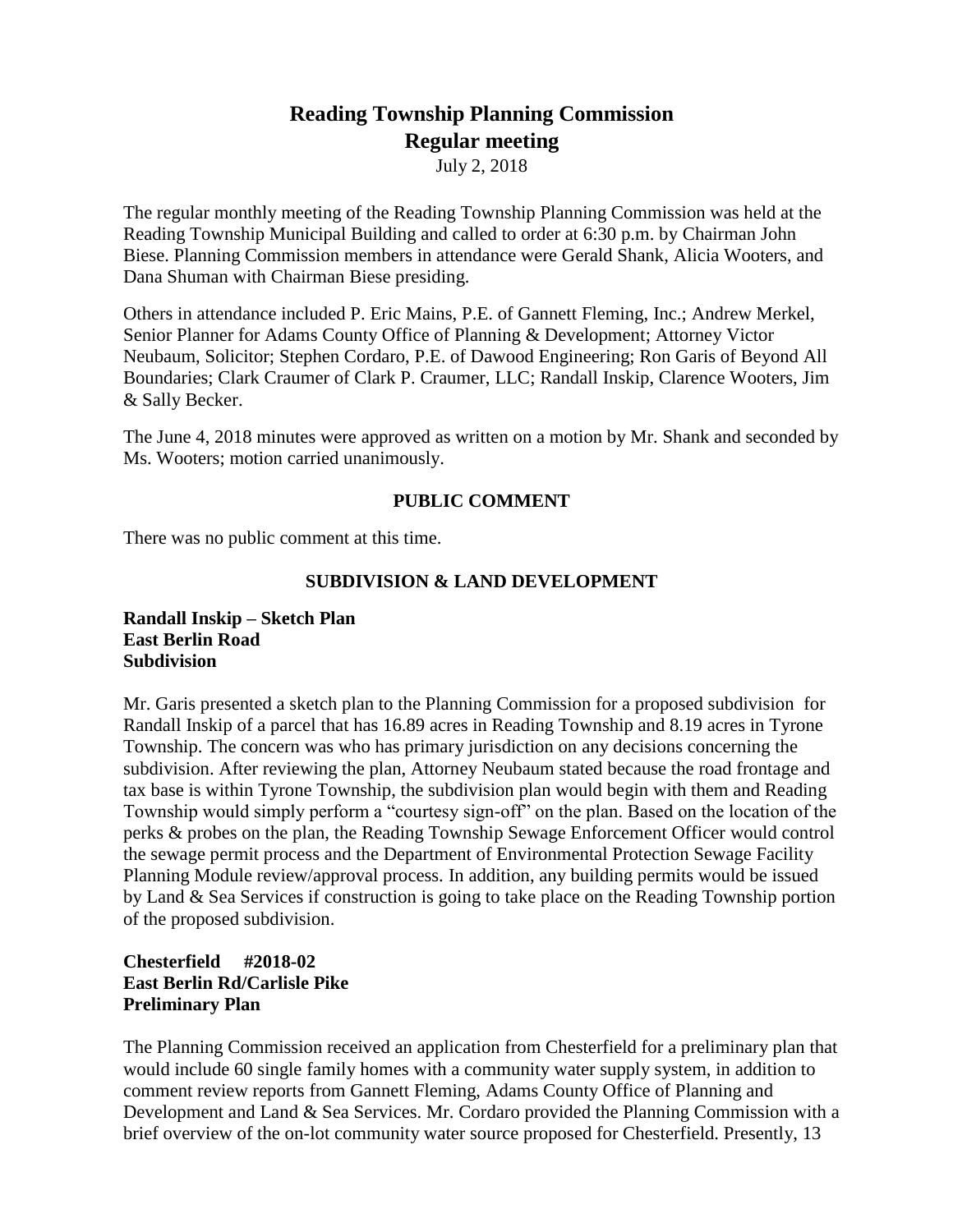# **Reading Township Planning Commission Regular meeting**

July 2, 2018

The regular monthly meeting of the Reading Township Planning Commission was held at the Reading Township Municipal Building and called to order at 6:30 p.m. by Chairman John Biese. Planning Commission members in attendance were Gerald Shank, Alicia Wooters, and Dana Shuman with Chairman Biese presiding.

Others in attendance included P. Eric Mains, P.E. of Gannett Fleming, Inc.; Andrew Merkel, Senior Planner for Adams County Office of Planning & Development; Attorney Victor Neubaum, Solicitor; Stephen Cordaro, P.E. of Dawood Engineering; Ron Garis of Beyond All Boundaries; Clark Craumer of Clark P. Craumer, LLC; Randall Inskip, Clarence Wooters, Jim & Sally Becker.

The June 4, 2018 minutes were approved as written on a motion by Mr. Shank and seconded by Ms. Wooters; motion carried unanimously.

### **PUBLIC COMMENT**

There was no public comment at this time.

### **SUBDIVISION & LAND DEVELOPMENT**

**Randall Inskip – Sketch Plan East Berlin Road Subdivision**

Mr. Garis presented a sketch plan to the Planning Commission for a proposed subdivision for Randall Inskip of a parcel that has 16.89 acres in Reading Township and 8.19 acres in Tyrone Township. The concern was who has primary jurisdiction on any decisions concerning the subdivision. After reviewing the plan, Attorney Neubaum stated because the road frontage and tax base is within Tyrone Township, the subdivision plan would begin with them and Reading Township would simply perform a "courtesy sign-off" on the plan. Based on the location of the perks & probes on the plan, the Reading Township Sewage Enforcement Officer would control the sewage permit process and the Department of Environmental Protection Sewage Facility Planning Module review/approval process. In addition, any building permits would be issued by Land & Sea Services if construction is going to take place on the Reading Township portion of the proposed subdivision.

# **Chesterfield #2018-02 East Berlin Rd/Carlisle Pike Preliminary Plan**

The Planning Commission received an application from Chesterfield for a preliminary plan that would include 60 single family homes with a community water supply system, in addition to comment review reports from Gannett Fleming, Adams County Office of Planning and Development and Land & Sea Services. Mr. Cordaro provided the Planning Commission with a brief overview of the on-lot community water source proposed for Chesterfield. Presently, 13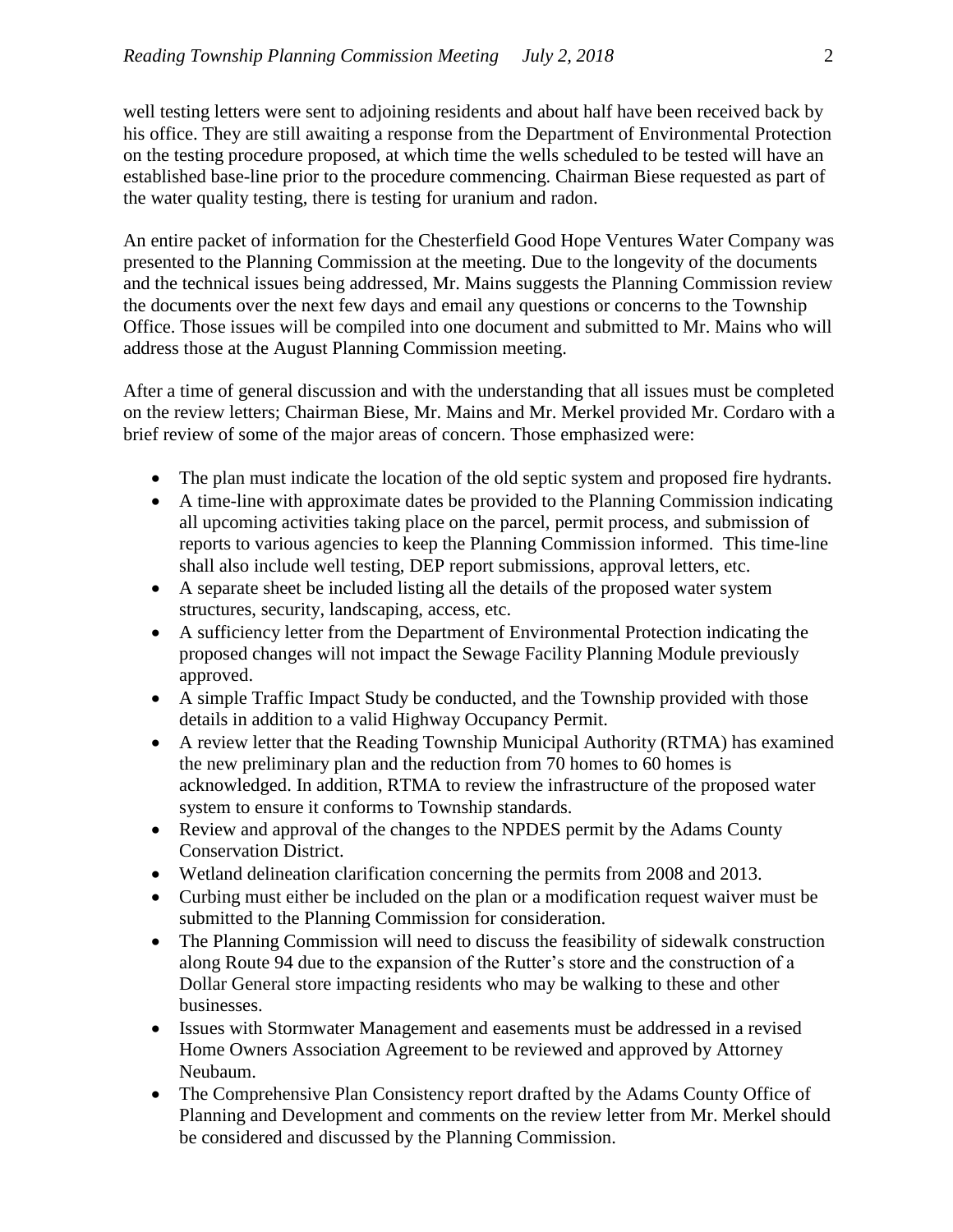well testing letters were sent to adjoining residents and about half have been received back by his office. They are still awaiting a response from the Department of Environmental Protection on the testing procedure proposed, at which time the wells scheduled to be tested will have an established base-line prior to the procedure commencing. Chairman Biese requested as part of the water quality testing, there is testing for uranium and radon.

An entire packet of information for the Chesterfield Good Hope Ventures Water Company was presented to the Planning Commission at the meeting. Due to the longevity of the documents and the technical issues being addressed, Mr. Mains suggests the Planning Commission review the documents over the next few days and email any questions or concerns to the Township Office. Those issues will be compiled into one document and submitted to Mr. Mains who will address those at the August Planning Commission meeting.

After a time of general discussion and with the understanding that all issues must be completed on the review letters; Chairman Biese, Mr. Mains and Mr. Merkel provided Mr. Cordaro with a brief review of some of the major areas of concern. Those emphasized were:

- The plan must indicate the location of the old septic system and proposed fire hydrants.
- A time-line with approximate dates be provided to the Planning Commission indicating all upcoming activities taking place on the parcel, permit process, and submission of reports to various agencies to keep the Planning Commission informed. This time-line shall also include well testing, DEP report submissions, approval letters, etc.
- A separate sheet be included listing all the details of the proposed water system structures, security, landscaping, access, etc.
- A sufficiency letter from the Department of Environmental Protection indicating the proposed changes will not impact the Sewage Facility Planning Module previously approved.
- A simple Traffic Impact Study be conducted, and the Township provided with those details in addition to a valid Highway Occupancy Permit.
- A review letter that the Reading Township Municipal Authority (RTMA) has examined the new preliminary plan and the reduction from 70 homes to 60 homes is acknowledged. In addition, RTMA to review the infrastructure of the proposed water system to ensure it conforms to Township standards.
- Review and approval of the changes to the NPDES permit by the Adams County Conservation District.
- Wetland delineation clarification concerning the permits from 2008 and 2013.
- Curbing must either be included on the plan or a modification request waiver must be submitted to the Planning Commission for consideration.
- The Planning Commission will need to discuss the feasibility of sidewalk construction along Route 94 due to the expansion of the Rutter's store and the construction of a Dollar General store impacting residents who may be walking to these and other businesses.
- Issues with Stormwater Management and easements must be addressed in a revised Home Owners Association Agreement to be reviewed and approved by Attorney Neubaum.
- The Comprehensive Plan Consistency report drafted by the Adams County Office of Planning and Development and comments on the review letter from Mr. Merkel should be considered and discussed by the Planning Commission.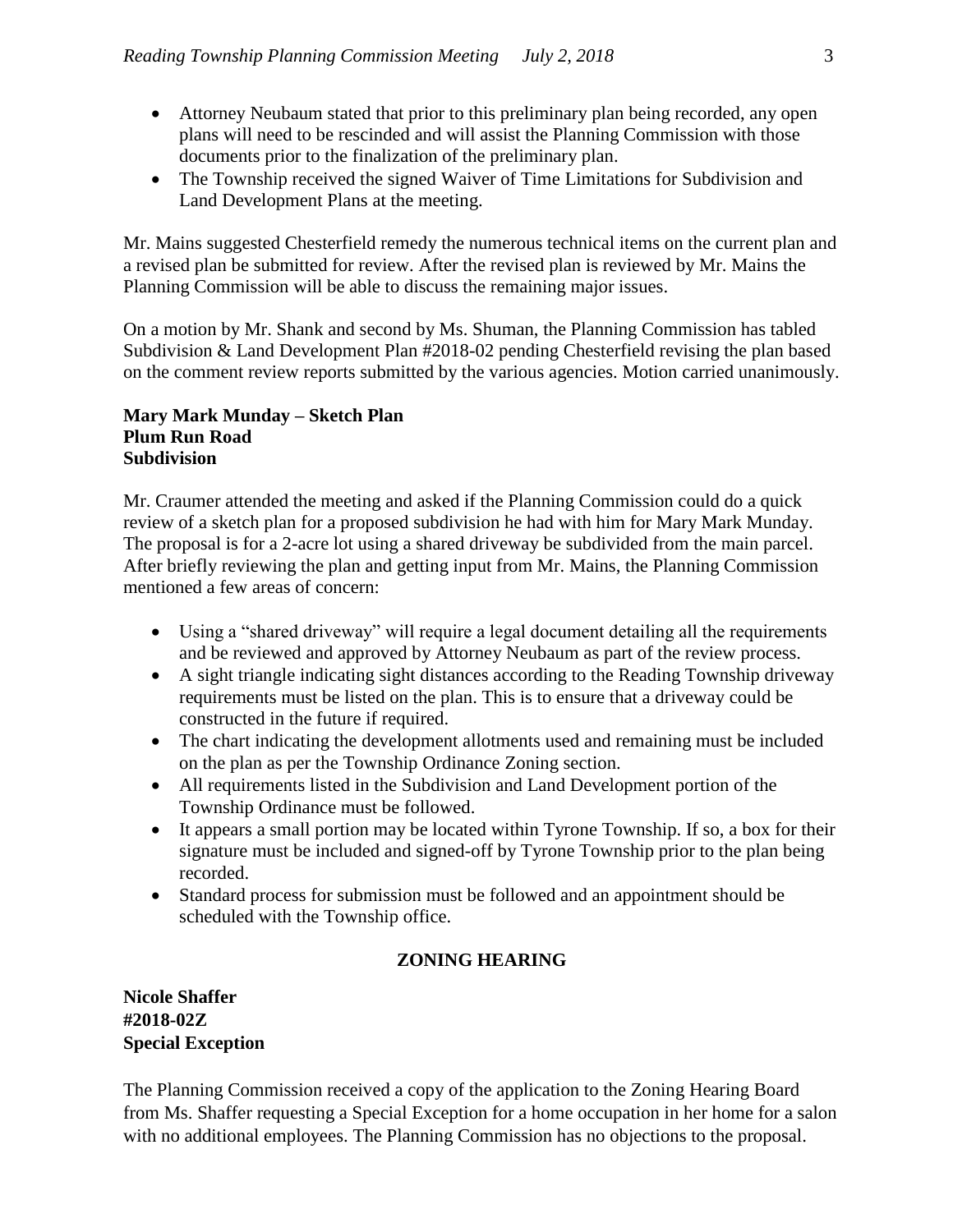- Attorney Neubaum stated that prior to this preliminary plan being recorded, any open plans will need to be rescinded and will assist the Planning Commission with those documents prior to the finalization of the preliminary plan.
- The Township received the signed Waiver of Time Limitations for Subdivision and Land Development Plans at the meeting.

Mr. Mains suggested Chesterfield remedy the numerous technical items on the current plan and a revised plan be submitted for review. After the revised plan is reviewed by Mr. Mains the Planning Commission will be able to discuss the remaining major issues.

On a motion by Mr. Shank and second by Ms. Shuman, the Planning Commission has tabled Subdivision & Land Development Plan #2018-02 pending Chesterfield revising the plan based on the comment review reports submitted by the various agencies. Motion carried unanimously.

### **Mary Mark Munday – Sketch Plan Plum Run Road Subdivision**

Mr. Craumer attended the meeting and asked if the Planning Commission could do a quick review of a sketch plan for a proposed subdivision he had with him for Mary Mark Munday. The proposal is for a 2-acre lot using a shared driveway be subdivided from the main parcel. After briefly reviewing the plan and getting input from Mr. Mains, the Planning Commission mentioned a few areas of concern:

- Using a "shared driveway" will require a legal document detailing all the requirements and be reviewed and approved by Attorney Neubaum as part of the review process.
- A sight triangle indicating sight distances according to the Reading Township driveway requirements must be listed on the plan. This is to ensure that a driveway could be constructed in the future if required.
- The chart indicating the development allotments used and remaining must be included on the plan as per the Township Ordinance Zoning section.
- All requirements listed in the Subdivision and Land Development portion of the Township Ordinance must be followed.
- It appears a small portion may be located within Tyrone Township. If so, a box for their signature must be included and signed-off by Tyrone Township prior to the plan being recorded.
- Standard process for submission must be followed and an appointment should be scheduled with the Township office.

# **ZONING HEARING**

# **Nicole Shaffer #2018-02Z Special Exception**

The Planning Commission received a copy of the application to the Zoning Hearing Board from Ms. Shaffer requesting a Special Exception for a home occupation in her home for a salon with no additional employees. The Planning Commission has no objections to the proposal.